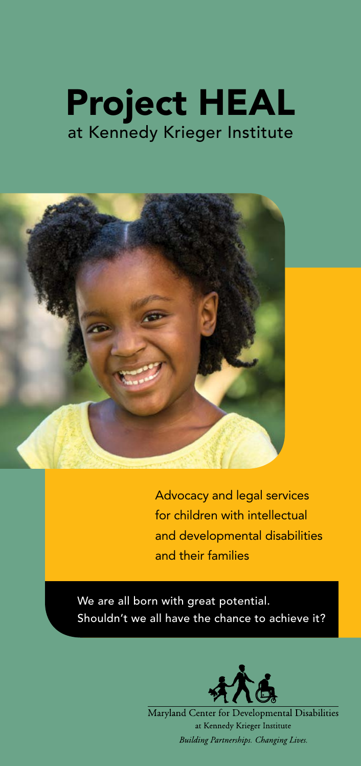



Advocacy and legal services for children with intellectual and developmental disabilities and their families

We are all born with great potential. Shouldn't we all have the chance to achieve it?



Maryland Center for Developmental Disabilities at Kennedy Krieger Institute Building Partnerships. Changing Lives.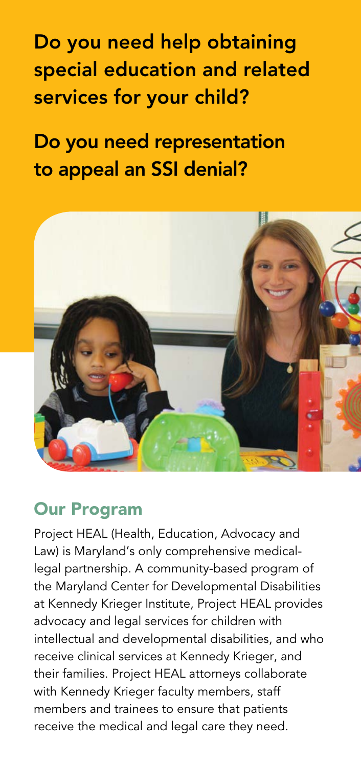Do you need help obtaining special education and related services for your child?

Do you need representation to appeal an SSI denial?



### Our Program

Project HEAL (Health, Education, Advocacy and Law) is Maryland's only comprehensive medicallegal partnership. A community-based program of the Maryland Center for Developmental Disabilities at Kennedy Krieger Institute, Project HEAL provides advocacy and legal services for children with intellectual and developmental disabilities, and who receive clinical services at Kennedy Krieger, and their families. Project HEAL attorneys collaborate with Kennedy Krieger faculty members, staff members and trainees to ensure that patients receive the medical and legal care they need.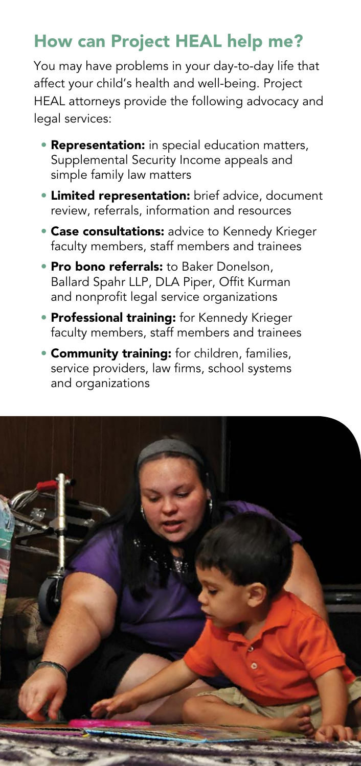# How can Project HEAL help me?

You may have problems in your day-to-day life that affect your child's health and well-being. Project HEAL attorneys provide the following advocacy and legal services:

- **Representation:** in special education matters, Supplemental Security Income appeals and simple family law matters
- **Limited representation:** brief advice, document review, referrals, information and resources
- **Case consultations:** advice to Kennedy Krieger faculty members, staff members and trainees
- **Pro bono referrals:** to Baker Donelson, Ballard Spahr LLP, DLA Piper, Offit Kurman and nonprofit legal service organizations
- **Professional training:** for Kennedy Krieger faculty members, staff members and trainees
- **Community training:** for children, families, service providers, law firms, school systems and organizations

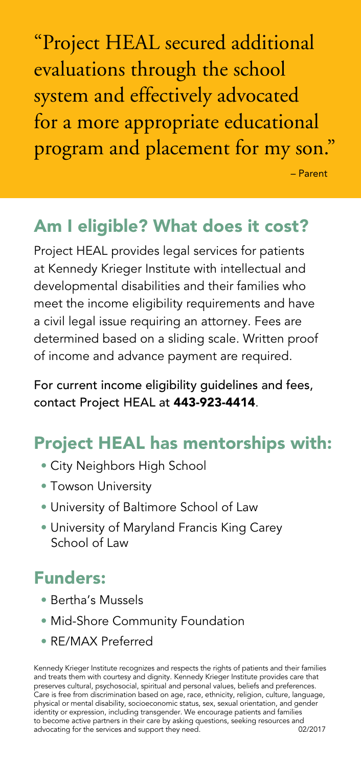"Project HEAL secured additional evaluations through the school system and effectively advocated for a more appropriate educational program and placement for my son."

– Parent

### Am I eligible? What does it cost?

Project HEAL provides legal services for patients at Kennedy Krieger Institute with intellectual and developmental disabilities and their families who meet the income eligibility requirements and have a civil legal issue requiring an attorney. Fees are determined based on a sliding scale. Written proof of income and advance payment are required.

For current income eligibility guidelines and fees, contact Project HEAL at 443-923-4414.

# Project HEAL has mentorships with:

- City Neighbors High School
- Towson University
- University of Baltimore School of Law
- University of Maryland Francis King Carey School of Law

## Funders:

- Bertha's Mussels
- Mid-Shore Community Foundation
- RE/MAX Preferred

Kennedy Krieger Institute recognizes and respects the rights of patients and their families and treats them with courtesy and dignity. Kennedy Krieger Institute provides care that preserves cultural, psychosocial, spiritual and personal values, beliefs and preferences. Care is free from discrimination based on age, race, ethnicity, religion, culture, language, physical or mental disability, socioeconomic status, sex, sexual orientation, and gender identity or expression, including transgender. We encourage patients and families to become active partners in their care by asking questions, seeking resources and<br>advocating for the services and support they need. (2/2017) advocating for the services and support they need.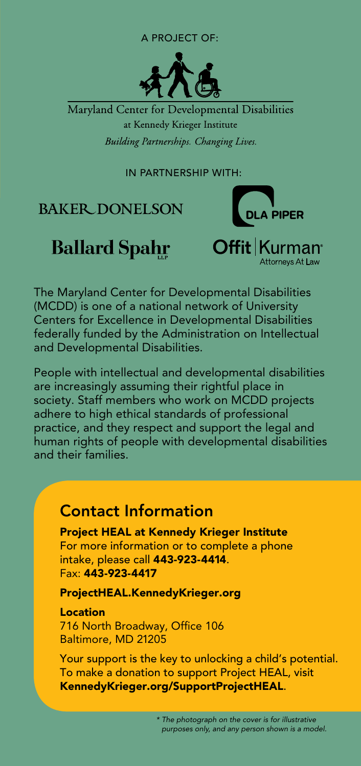#### A project of:



Maryland Center for Developmental Disabilities at Kennedy Krieger Institute Building Partnerships. Changing Lives.

In partnership with:

#### **BAKER DONELSON**

# **Ballard Spahr**



The Maryland Center for Developmental Disabilities (MCDD) is one of a national network of University Centers for Excellence in Developmental Disabilities federally funded by the Administration on Intellectual and Developmental Disabilities.

People with intellectual and developmental disabilities are increasingly assuming their rightful place in society. Staff members who work on MCDD projects adhere to high ethical standards of professional practice, and they respect and support the legal and human rights of people with developmental disabilities and their families.

#### Contact Information

Project HEAL at Kennedy Krieger Institute For more information or to complete a phone intake, please call 443-923-4414. Fax: 443-923-4417

[ProjectHEAL.KennedyKrieger.org](http://ProjectHEAL.KennedyKrieger.org)

Location

716 North Broadway, Office 106 Baltimore, MD 21205

Your support is the key to unlocking a child's potential. To make a donation to support Project HEAL, visit [KennedyKrieger.org/SupportProjectHEAL](http://KennedyKrieger.org/SupportProjectHEAL).